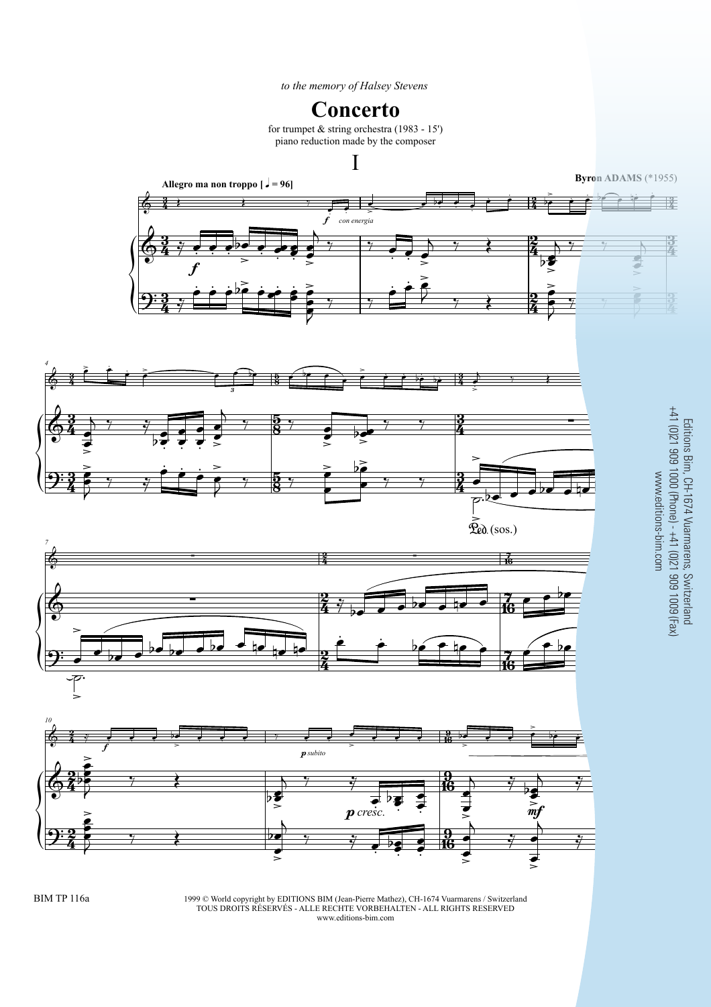*to the memory of Halsey Stevens*

## **Concerto**

for trumpet & string orchestra (1983 - 15') piano reduction made by the composer







 $\overline{8}$ 

"

1999 © World copyright by EDITIONS BIM (Jean-Pierre Mathez), CH-1674 Vuarmarens / Switzerland TOUS DROITS RÉSERVÉS - ALLE RECHTE VORBEHALTEN - ALL RIGHTS RESERVED www.editions-bim.com BIM TP 116a 399 © World copyright by EDITIONS BIM (Jean-Pierre Mathez), CH-1674 Vuarmarens / Switzerland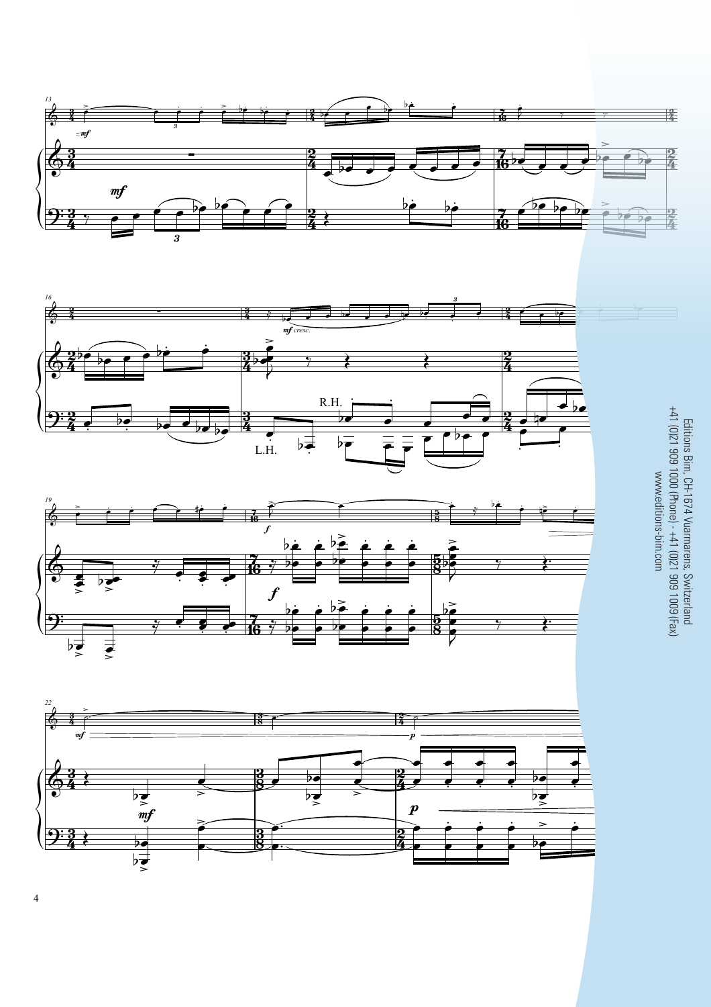







Editions Bim, CH-1674 Vuarmarens, Switzerland<br>+41 (0)21 909 1000 (Phone) - +41 (0)21 909 1009 (Fax)<br>www.editions-bim.com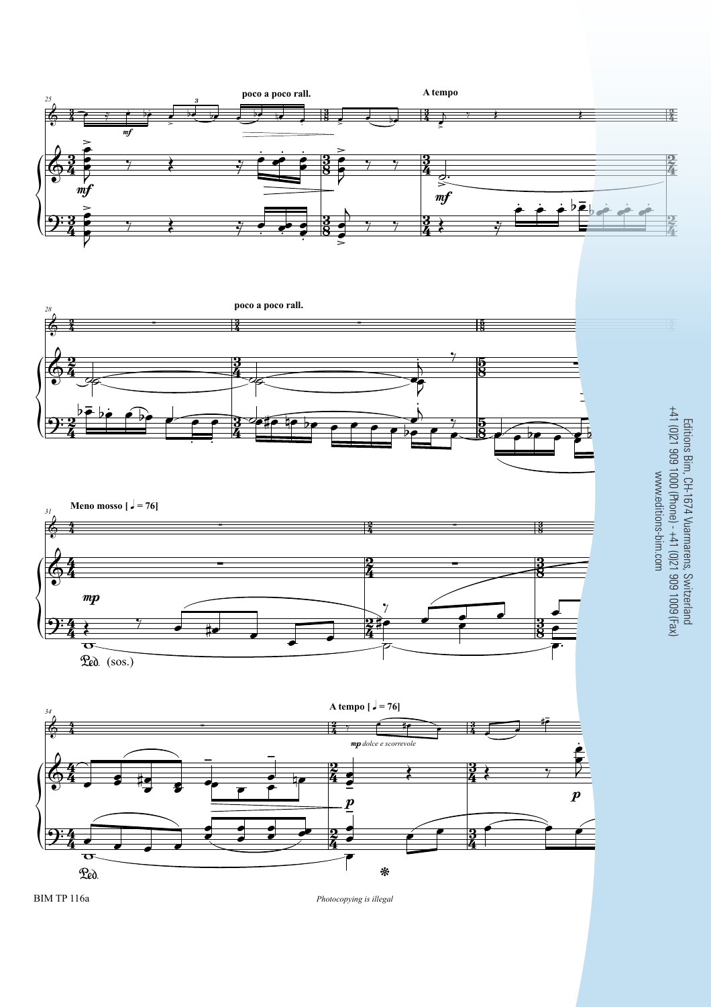





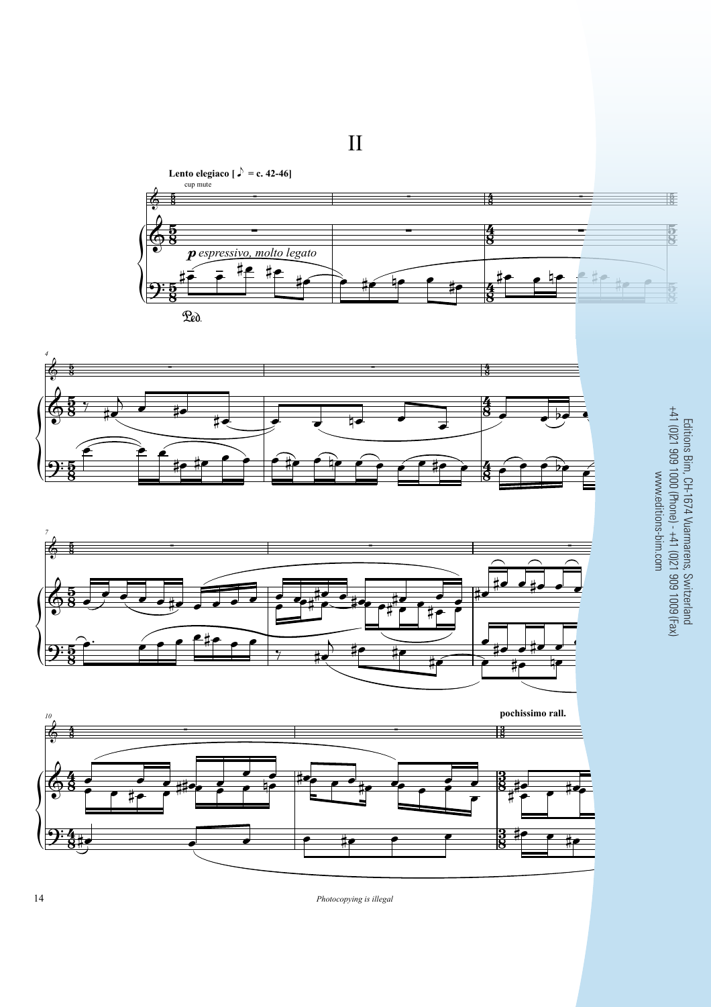

II







 $\overline{5}$  $\frac{1}{2}$ ا ۱<br>|<br>|+ II. 60  $\frac{1}{2}$ Editions Bim, CH-1674 Vuarmarens, Switzerland +41 (0)21 909 1000 (Phone) - +41 (0)21 909 1009 (Fax) www.editions-bim.com

\$  $\frac{1}{2}$ 

14 *Photocopying is illegal* BIM TP 116<sup>a</sup>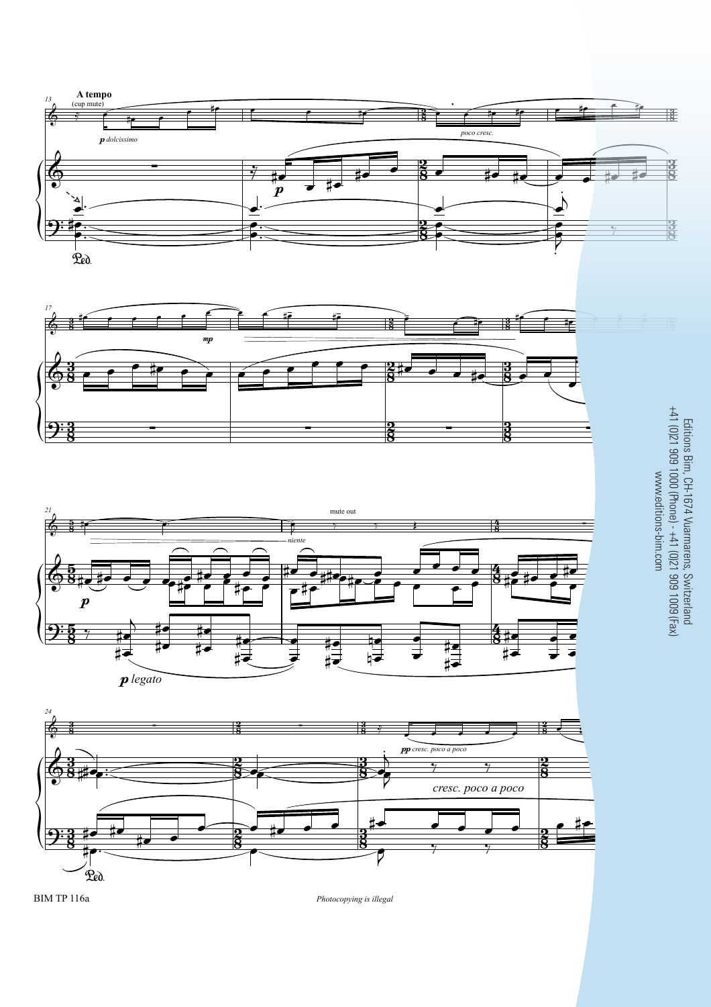









BIM TP 116a *Photocopying is illegal* 15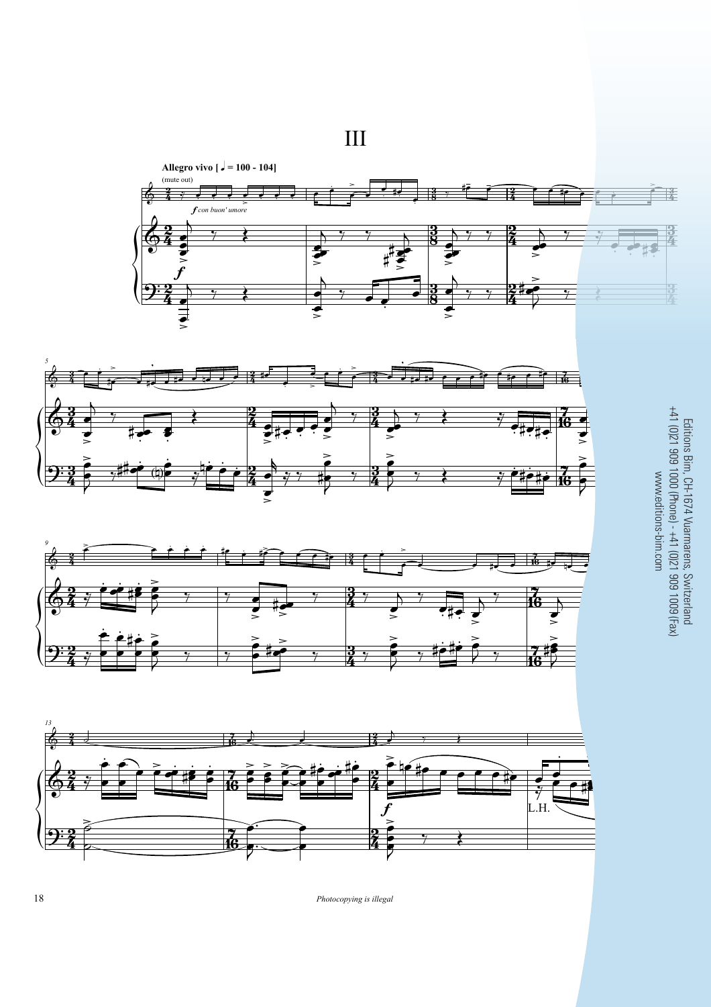







Photocopying is illegal

Editions Bim, CH-1674 Vuarmarens, Switzerland<br>+41 (0)21 909 1000 (Phone) - +41 (0)21 909 1009 (Fax)<br>www.editions-bim.com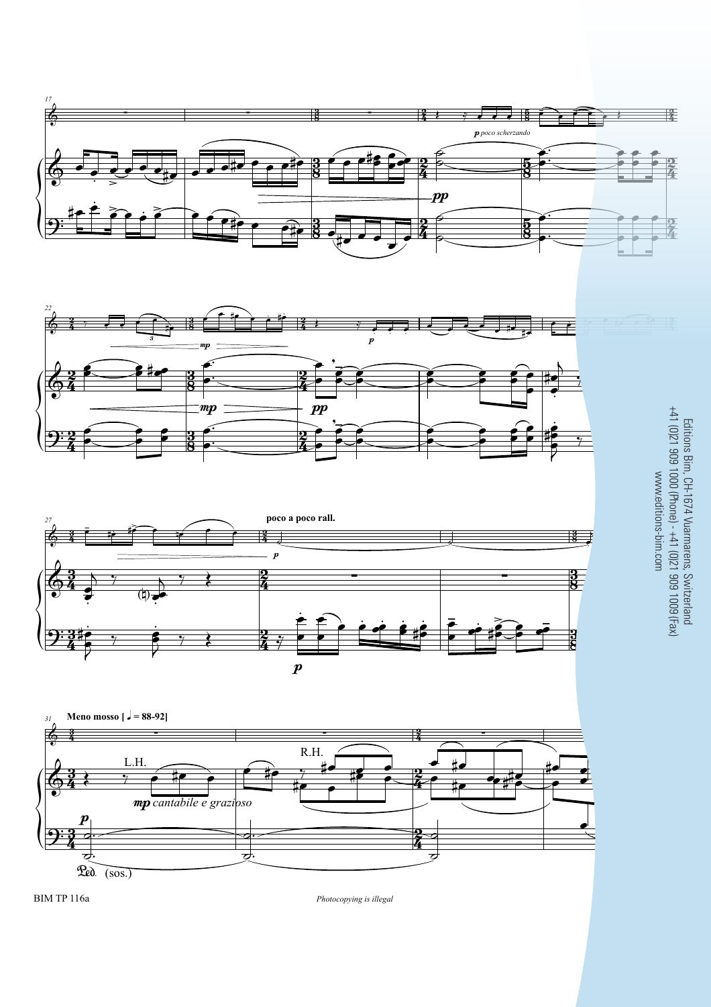







Editions Bim, CH-1674 Vuarmarens, Switzerland<br>+41 (0)21 909 1000 (Phone) - +41 (0)21 909 1009 (Fax)<br>www.editions-bim.com

**BIM TP 116a** 

Photocopying is illegal